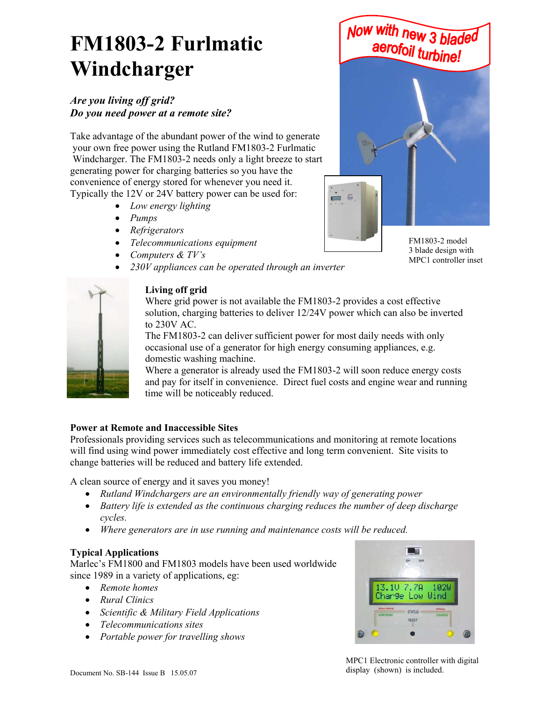# **FM1803-2 Furlmatic Windcharger**

### *Are you living off grid? Do you need power at a remote site?*

Take advantage of the abundant power of the wind to generate your own free power using the Rutland FM1803-2 Furlmatic Windcharger. The FM1803-2 needs only a light breeze to start generating power for charging batteries so you have the convenience of energy stored for whenever you need it. Typically the 12V or 24V battery power can be used for:

- *Low energy lighting*
- *Pumps*
- *Refrigerators*
- *Telecommunications equipment*
- *Computers & TV's*
- *230V appliances can be operated through an inverter*



Where grid power is not available the FM1803-2 provides a cost effective solution, charging batteries to deliver 12/24V power which can also be inverted to 230V AC.

The FM1803-2 can deliver sufficient power for most daily needs with only occasional use of a generator for high energy consuming appliances, e.g. domestic washing machine.

Where a generator is already used the FM1803-2 will soon reduce energy costs and pay for itself in convenience. Direct fuel costs and engine wear and running time will be noticeably reduced.

#### **Power at Remote and Inaccessible Sites**

Professionals providing services such as telecommunications and monitoring at remote locations will find using wind power immediately cost effective and long term convenient. Site visits to change batteries will be reduced and battery life extended.

A clean source of energy and it saves you money!

- *Rutland Windchargers are an environmentally friendly way of generating power*
- *Battery life is extended as the continuous charging reduces the number of deep discharge cycles.*
- *Where generators are in use running and maintenance costs will be reduced.*

#### **Typical Applications**

Marlec's FM1800 and FM1803 models have been used worldwide since 1989 in a variety of applications, eg:

- *Remote homes*
- *Rural Clinics*
- *Scientific & Military Field Applications*
- *Telecommunications sites*
- *Portable power for travelling shows*





Now with new 3 blad

FM1803-2 model 3 blade design with MPC1 controller inset

MPC1 Electronic controller with digital display (shown) is included.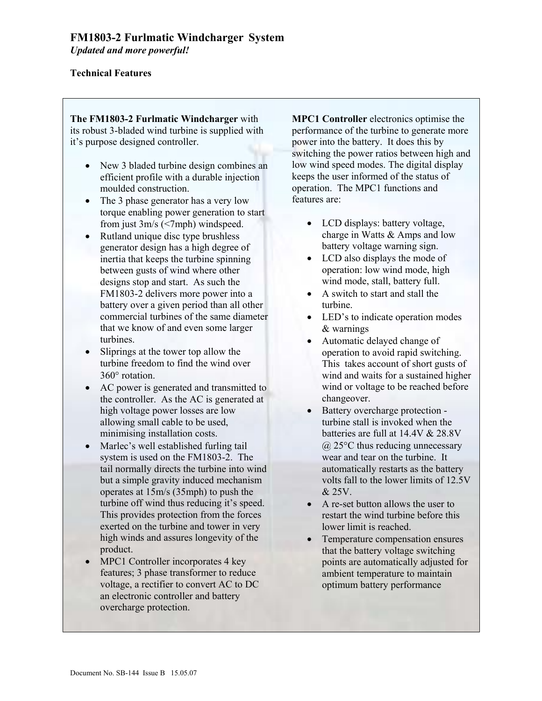#### **Technical Features**

**The FM1803-2 Furlmatic Windcharger** with its robust 3-bladed wind turbine is supplied with it's purpose designed controller.

- New 3 bladed turbine design combines an efficient profile with a durable injection moulded construction.
- The 3 phase generator has a very low torque enabling power generation to start from just 3m/s (<7mph) windspeed.
- Rutland unique disc type brushless generator design has a high degree of inertia that keeps the turbine spinning between gusts of wind where other designs stop and start. As such the FM1803-2 delivers more power into a battery over a given period than all other commercial turbines of the same diameter that we know of and even some larger turbines.
- Sliprings at the tower top allow the turbine freedom to find the wind over 360° rotation.
- AC power is generated and transmitted to the controller. As the AC is generated at high voltage power losses are low allowing small cable to be used, minimising installation costs.
- Marlec's well established furling tail system is used on the FM1803-2. The tail normally directs the turbine into wind but a simple gravity induced mechanism operates at 15m/s (35mph) to push the turbine off wind thus reducing it's speed. This provides protection from the forces exerted on the turbine and tower in very high winds and assures longevity of the product.
- MPC1 Controller incorporates 4 key features; 3 phase transformer to reduce voltage, a rectifier to convert AC to DC an electronic controller and battery overcharge protection.

**MPC1 Controller** electronics optimise the performance of the turbine to generate more power into the battery. It does this by switching the power ratios between high and low wind speed modes. The digital display keeps the user informed of the status of operation. The MPC1 functions and features are:

- LCD displays: battery voltage, charge in Watts & Amps and low battery voltage warning sign.
- LCD also displays the mode of operation: low wind mode, high wind mode, stall, battery full.
- A switch to start and stall the turbine.
- LED's to indicate operation modes & warnings
- Automatic delayed change of operation to avoid rapid switching. This takes account of short gusts of wind and waits for a sustained higher wind or voltage to be reached before changeover.
- Battery overcharge protection turbine stall is invoked when the batteries are full at 14.4V & 28.8V @ 25°C thus reducing unnecessary wear and tear on the turbine. It automatically restarts as the battery volts fall to the lower limits of 12.5V & 25V.
- A re-set button allows the user to restart the wind turbine before this lower limit is reached.
- Temperature compensation ensures that the battery voltage switching points are automatically adjusted for ambient temperature to maintain optimum battery performance